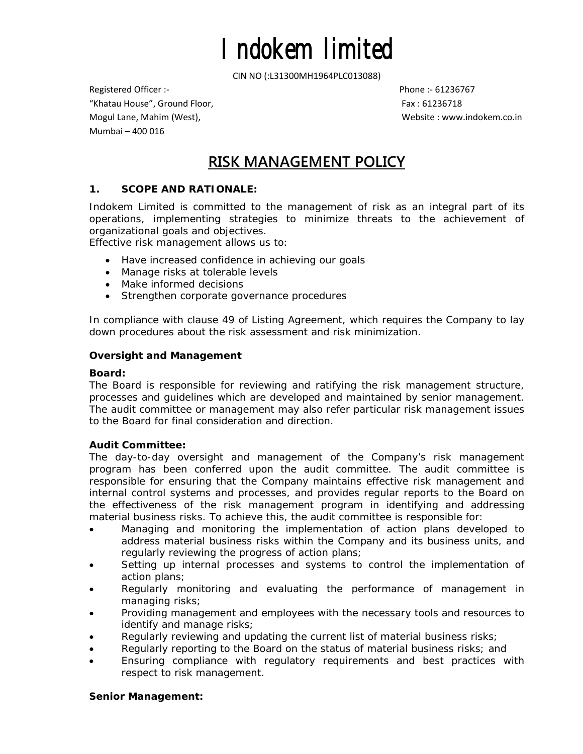CIN NO (:L31300MH1964PLC013088)

Registered Officer :‐ Phone :‐ 61236767 "Khatau House", Ground Floor, Fax : 61236718 Mogul Lane, Mahim (West), Website : www.indokem.co.in Mumbai – 400 016

## **RISK MANAGEMENT POLICY**

## **1. SCOPE AND RATIONALE:**

Indokem Limited is committed to the management of risk as an integral part of its operations, implementing strategies to minimize threats to the achievement of organizational goals and objectives.

Effective risk management allows us to:

- Have increased confidence in achieving our goals
- Manage risks at tolerable levels
- Make informed decisions
- Strengthen corporate governance procedures

In compliance with clause 49 of Listing Agreement, which requires the Company to lay down procedures about the risk assessment and risk minimization.

#### **Oversight and Management**

#### *Board:*

The Board is responsible for reviewing and ratifying the risk management structure, processes and guidelines which are developed and maintained by senior management. The audit committee or management may also refer particular risk management issues to the Board for final consideration and direction.

### *Audit Committee:*

The day-to-day oversight and management of the Company's risk management program has been conferred upon the audit committee. The audit committee is responsible for ensuring that the Company maintains effective risk management and internal control systems and processes, and provides regular reports to the Board on the effectiveness of the risk management program in identifying and addressing material business risks. To achieve this, the audit committee is responsible for:

- Managing and monitoring the implementation of action plans developed to address material business risks within the Company and its business units, and regularly reviewing the progress of action plans;
- Setting up internal processes and systems to control the implementation of action plans;
- Regularly monitoring and evaluating the performance of management in managing risks;
- Providing management and employees with the necessary tools and resources to identify and manage risks;
- Regularly reviewing and updating the current list of material business risks;
- Regularly reporting to the Board on the status of material business risks; and
- Ensuring compliance with regulatory requirements and best practices with respect to risk management.

### *Senior Management:*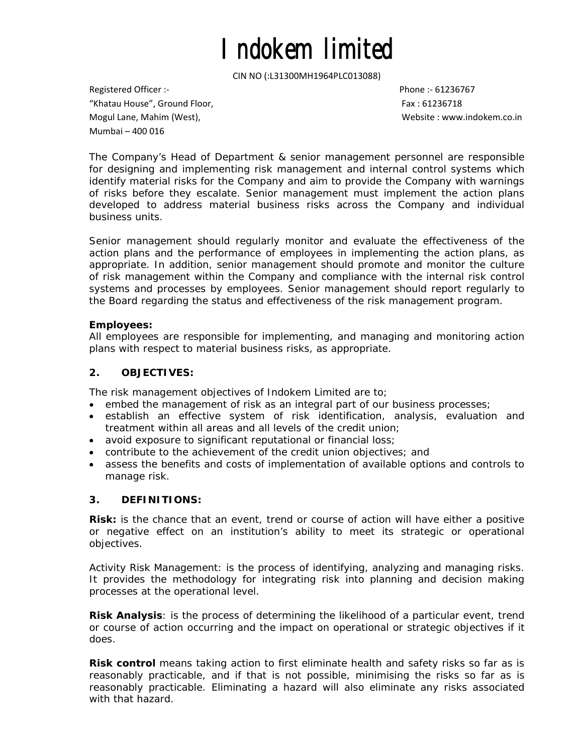CIN NO (:L31300MH1964PLC013088)

Registered Officer :‐ Phone :‐ 61236767 "Khatau House", Ground Floor, Fax : 61236718 Mogul Lane, Mahim (West), Website : www.indokem.co.in Mumbai – 400 016

The Company's Head of Department & senior management personnel are responsible for designing and implementing risk management and internal control systems which identify material risks for the Company and aim to provide the Company with warnings of risks before they escalate. Senior management must implement the action plans developed to address material business risks across the Company and individual business units.

Senior management should regularly monitor and evaluate the effectiveness of the action plans and the performance of employees in implementing the action plans, as appropriate. In addition, senior management should promote and monitor the culture of risk management within the Company and compliance with the internal risk control systems and processes by employees. Senior management should report regularly to the Board regarding the status and effectiveness of the risk management program.

#### *Employees:*

All employees are responsible for implementing, and managing and monitoring action plans with respect to material business risks, as appropriate.

#### **2. OBJECTIVES:**

The risk management objectives of Indokem Limited are to;

- embed the management of risk as an integral part of our business processes;
- establish an effective system of risk identification, analysis, evaluation and treatment within all areas and all levels of the credit union;
- avoid exposure to significant reputational or financial loss;
- contribute to the achievement of the credit union objectives; and
- assess the benefits and costs of implementation of available options and controls to manage risk.

### **3. DEFINITIONS:**

**Risk:** is the chance that an event, trend or course of action will have either a positive or negative effect on an institution's ability to meet its strategic or operational objectives.

Activity Risk Management: is the process of identifying, analyzing and managing risks. It provides the methodology for integrating risk into planning and decision making processes at the operational level.

**Risk Analysis**: is the process of determining the likelihood of a particular event, trend or course of action occurring and the impact on operational or strategic objectives if it does.

**Risk control** means taking action to first eliminate health and safety risks so far as is reasonably practicable, and if that is not possible, minimising the risks so far as is reasonably practicable. Eliminating a hazard will also eliminate any risks associated with that hazard.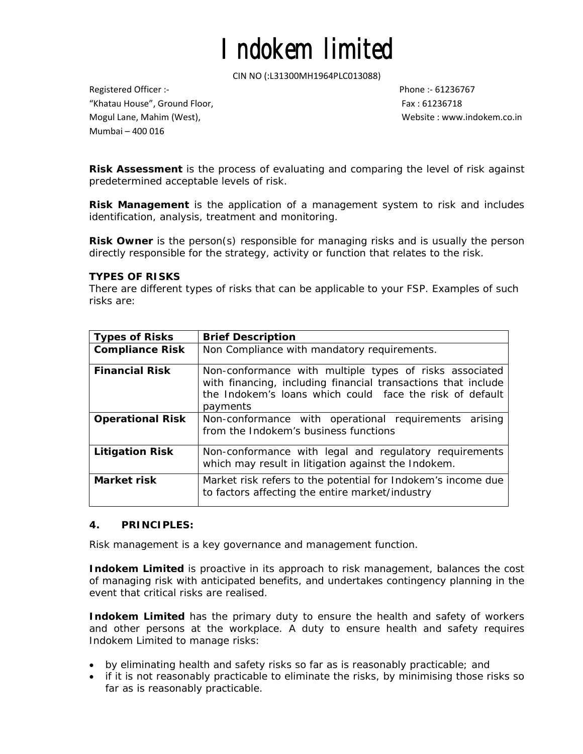CIN NO (:L31300MH1964PLC013088)

Registered Officer :‐ Phone :‐ 61236767 "Khatau House", Ground Floor, Fax : 61236718 Mogul Lane, Mahim (West), Website : www.indokem.co.in Mumbai – 400 016

**Risk Assessment** is the process of evaluating and comparing the level of risk against predetermined acceptable levels of risk.

**Risk Management** is the application of a management system to risk and includes identification, analysis, treatment and monitoring.

**Risk Owner** is the person(s) responsible for managing risks and is usually the person directly responsible for the strategy, activity or function that relates to the risk.

#### **TYPES OF RISKS**

There are different types of risks that can be applicable to your FSP. Examples of such risks are:

| <b>Types of Risks</b>                            | <b>Brief Description</b>                                                                                                                                                                                                                                                                           |  |  |  |  |  |
|--------------------------------------------------|----------------------------------------------------------------------------------------------------------------------------------------------------------------------------------------------------------------------------------------------------------------------------------------------------|--|--|--|--|--|
| <b>Compliance Risk</b>                           | Non Compliance with mandatory requirements.                                                                                                                                                                                                                                                        |  |  |  |  |  |
| <b>Financial Risk</b><br><b>Operational Risk</b> | Non-conformance with multiple types of risks associated<br>with financing, including financial transactions that include<br>the Indokem's loans which could face the risk of default<br>payments<br>Non-conformance with operational requirements arising<br>from the Indokem's business functions |  |  |  |  |  |
| <b>Litigation Risk</b>                           | Non-conformance with legal and regulatory requirements<br>which may result in litigation against the Indokem.                                                                                                                                                                                      |  |  |  |  |  |
| Market risk                                      | Market risk refers to the potential for Indokem's income due<br>to factors affecting the entire market/industry                                                                                                                                                                                    |  |  |  |  |  |

#### **4. PRINCIPLES:**

Risk management is a key governance and management function.

**Indokem Limited** is proactive in its approach to risk management, balances the cost of managing risk with anticipated benefits, and undertakes contingency planning in the event that critical risks are realised.

**Indokem Limited** has the primary duty to ensure the health and safety of workers and other persons at the workplace. A duty to ensure health and safety requires Indokem Limited to manage risks:

- by eliminating health and safety risks so far as is reasonably practicable; and
- if it is not reasonably practicable to eliminate the risks, by minimising those risks so far as is reasonably practicable.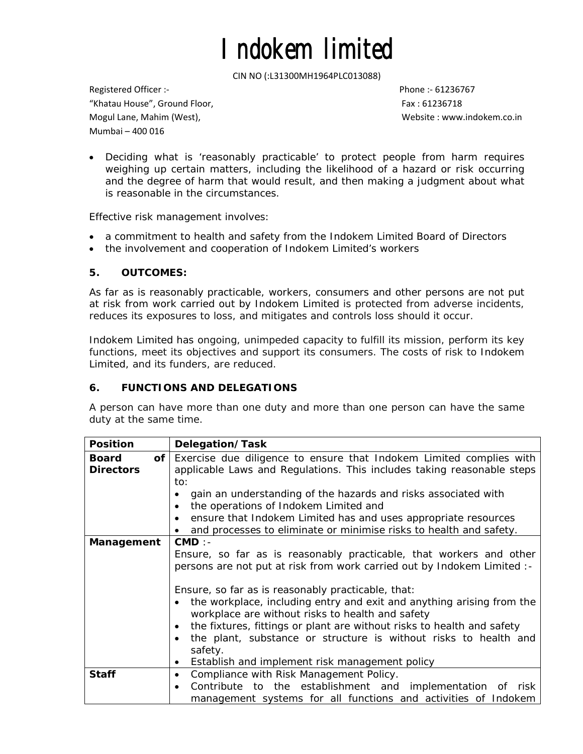CIN NO (:L31300MH1964PLC013088)

Registered Officer :‐ Phone :‐ 61236767 "Khatau House", Ground Floor, Fax : 61236718 Mogul Lane, Mahim (West), Website : www.indokem.co.in Mumbai – 400 016

• Deciding what is 'reasonably practicable' to protect people from harm requires weighing up certain matters, including the likelihood of a hazard or risk occurring and the degree of harm that would result, and then making a judgment about what is reasonable in the circumstances.

Effective risk management involves:

- a commitment to health and safety from the Indokem Limited Board of Directors
- the involvement and cooperation of Indokem Limited's workers

## **5. OUTCOMES:**

As far as is reasonably practicable, workers, consumers and other persons are not put at risk from work carried out by Indokem Limited is protected from adverse incidents, reduces its exposures to loss, and mitigates and controls loss should it occur.

Indokem Limited has ongoing, unimpeded capacity to fulfill its mission, perform its key functions, meet its objectives and support its consumers. The costs of risk to Indokem Limited, and its funders, are reduced.

## **6. FUNCTIONS AND DELEGATIONS**

A person can have more than one duty and more than one person can have the same duty at the same time.

| <b>Position</b>                        | Delegation/Task                                                                                                                                                                                                                                                                                                                                                                                                                                                                                                                                                   |
|----------------------------------------|-------------------------------------------------------------------------------------------------------------------------------------------------------------------------------------------------------------------------------------------------------------------------------------------------------------------------------------------------------------------------------------------------------------------------------------------------------------------------------------------------------------------------------------------------------------------|
| of<br><b>Board</b><br><b>Directors</b> | Exercise due diligence to ensure that Indokem Limited complies with<br>applicable Laws and Regulations. This includes taking reasonable steps<br>to:<br>gain an understanding of the hazards and risks associated with<br>the operations of Indokem Limited and<br>ensure that Indokem Limited has and uses appropriate resources<br>$\bullet$                                                                                                                                                                                                                    |
|                                        | and processes to eliminate or minimise risks to health and safety.                                                                                                                                                                                                                                                                                                                                                                                                                                                                                                |
| Management                             | CMD:<br>Ensure, so far as is reasonably practicable, that workers and other<br>persons are not put at risk from work carried out by Indokem Limited :-<br>Ensure, so far as is reasonably practicable, that:<br>the workplace, including entry and exit and anything arising from the<br>workplace are without risks to health and safety<br>the fixtures, fittings or plant are without risks to health and safety<br>the plant, substance or structure is without risks to health and<br>$\bullet$<br>safety.<br>Establish and implement risk management policy |
| <b>Staff</b>                           | Compliance with Risk Management Policy.<br>$\bullet$<br>Contribute to the establishment and implementation of risk<br>$\bullet$<br>management systems for all functions and activities of Indokem                                                                                                                                                                                                                                                                                                                                                                 |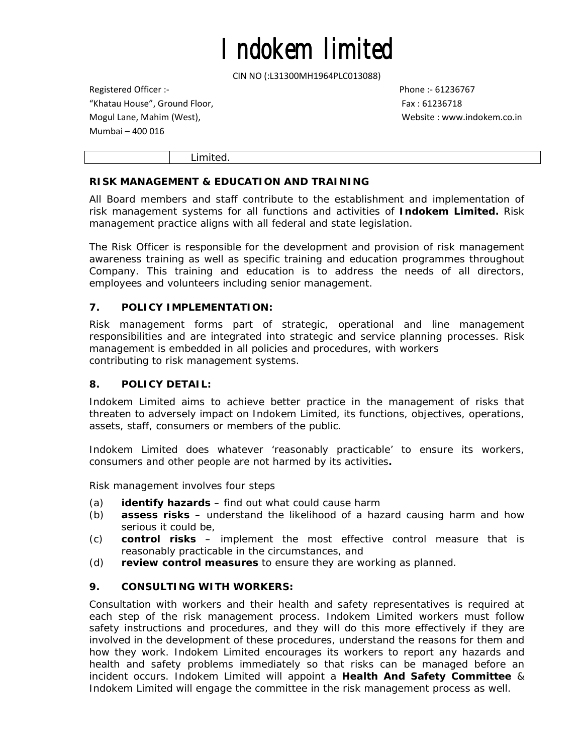CIN NO (:L31300MH1964PLC013088)

Registered Officer :‐ Phone :‐ 61236767 "Khatau House", Ground Floor, Fax : 61236718 Mogul Lane, Mahim (West), Website : www.indokem.co.in Mumbai – 400 016

Limited.

## **RISK MANAGEMENT & EDUCATION AND TRAINING**

All Board members and staff contribute to the establishment and implementation of risk management systems for all functions and activities of **Indokem Limited.** Risk management practice aligns with all federal and state legislation.

The Risk Officer is responsible for the development and provision of risk management awareness training as well as specific training and education programmes throughout Company. This training and education is to address the needs of all directors, employees and volunteers including senior management.

## **7. POLICY IMPLEMENTATION:**

Risk management forms part of strategic, operational and line management responsibilities and are integrated into strategic and service planning processes. Risk management is embedded in all policies and procedures, with workers contributing to risk management systems.

### **8. POLICY DETAIL:**

Indokem Limited aims to achieve better practice in the management of risks that threaten to adversely impact on Indokem Limited, its functions, objectives, operations, assets, staff, consumers or members of the public.

Indokem Limited does whatever 'reasonably practicable' to ensure its workers, consumers and other people are not harmed by its activities**.** 

Risk management involves four steps

- (a) **identify hazards** find out what could cause harm
- (b) **assess risks** understand the likelihood of a hazard causing harm and how serious it could be,
- (c) **control risks** implement the most effective control measure that is reasonably practicable in the circumstances, and
- (d) **review control measures** to ensure they are working as planned.

## **9. CONSULTING WITH WORKERS:**

Consultation with workers and their health and safety representatives is required at each step of the risk management process. Indokem Limited workers must follow safety instructions and procedures, and they will do this more effectively if they are involved in the development of these procedures, understand the reasons for them and how they work. Indokem Limited encourages its workers to report any hazards and health and safety problems immediately so that risks can be managed before an incident occurs. Indokem Limited will appoint a **Health And Safety Committee** & Indokem Limited will engage the committee in the risk management process as well.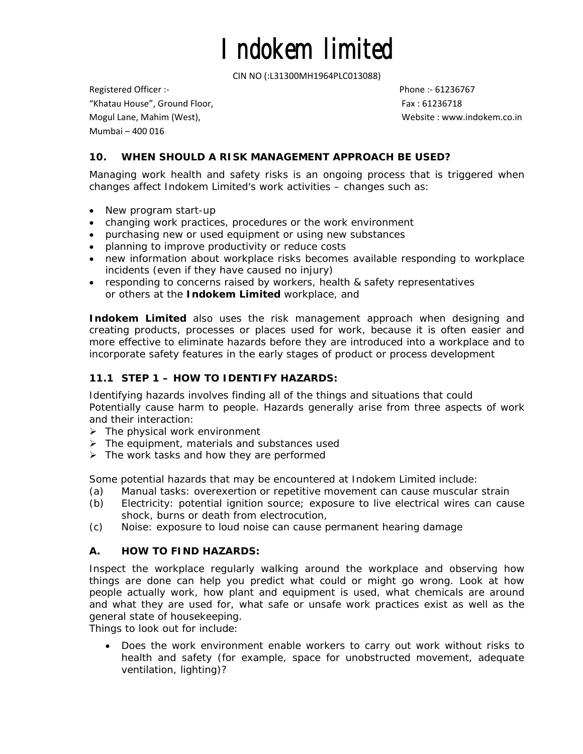CIN NO (:L31300MH1964PLC013088)

Registered Officer :‐ Phone :‐ 61236767 "Khatau House", Ground Floor, Fax : 61236718 Mogul Lane, Mahim (West), Website : www.indokem.co.in Mumbai – 400 016

## **10. WHEN SHOULD A RISK MANAGEMENT APPROACH BE USED?**

Managing work health and safety risks is an ongoing process that is triggered when changes affect Indokem Limited's work activities – changes such as:

- New program start-up
- changing work practices, procedures or the work environment
- purchasing new or used equipment or using new substances
- planning to improve productivity or reduce costs
- new information about workplace risks becomes available responding to workplace incidents (even if they have caused no injury)
- responding to concerns raised by workers, health & safety representatives or others at the **Indokem Limited** workplace, and

**Indokem Limited** also uses the risk management approach when designing and creating products, processes or places used for work, because it is often easier and more effective to eliminate hazards before they are introduced into a workplace and to incorporate safety features in the early stages of product or process development

## **11.1 STEP 1 – HOW TO IDENTIFY HAZARDS:**

Identifying hazards involves finding all of the things and situations that could Potentially cause harm to people. Hazards generally arise from three aspects of work and their interaction:

- $\triangleright$  The physical work environment
- $\triangleright$  The equipment, materials and substances used
- $\triangleright$  The work tasks and how they are performed

Some potential hazards that may be encountered at Indokem Limited include:

- (a) Manual tasks: overexertion or repetitive movement can cause muscular strain
- (b) Electricity: potential ignition source; exposure to live electrical wires can cause shock, burns or death from electrocution,
- (c) Noise: exposure to loud noise can cause permanent hearing damage

### **A. HOW TO FIND HAZARDS:**

Inspect the workplace regularly walking around the workplace and observing how things are done can help you predict what could or might go wrong. Look at how people actually work, how plant and equipment is used, what chemicals are around and what they are used for, what safe or unsafe work practices exist as well as the general state of housekeeping.

Things to look out for include:

• *Does the work environment enable workers to carry out work without risks to health and safety (for example, space for unobstructed movement, adequate ventilation, lighting)?*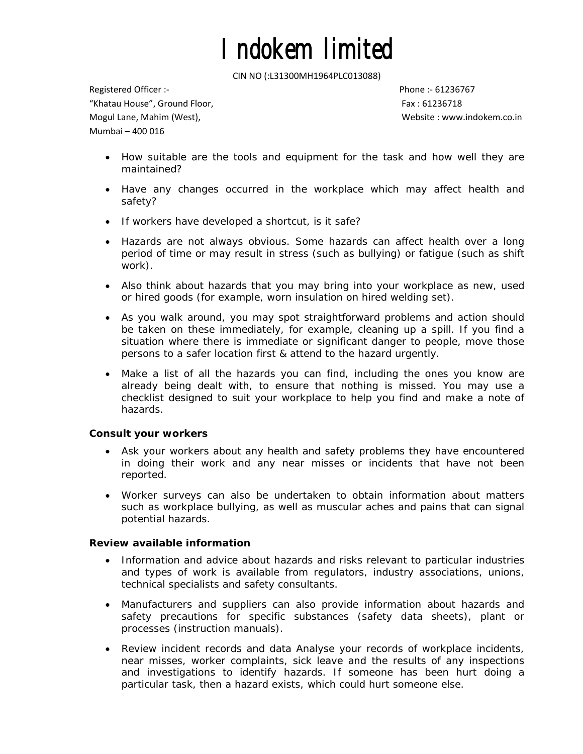CIN NO (:L31300MH1964PLC013088)

Registered Officer :‐ Phone :‐ 61236767 "Khatau House", Ground Floor, Fax : 61236718 Mogul Lane, Mahim (West), Website : www.indokem.co.in Mumbai – 400 016

- *How suitable are the tools and equipment for the task and how well they are maintained?*
- *Have any changes occurred in the workplace which may affect health and safety?*
- *If workers have developed a shortcut, is it safe?*
- *Hazards are not always obvious. Some hazards can affect health over a long period of time or may result in stress (such as bullying) or fatigue (such as shift work).*
- *Also think about hazards that you may bring into your workplace as new, used or hired goods (for example, worn insulation on hired welding set).*
- *As you walk around, you may spot straightforward problems and action should*  be taken on these immediately, for example, cleaning up a spill. If you find a *situation where there is immediate or significant danger to people, move those persons to a safer location first & attend to the hazard urgently.*
- Make a list of all the hazards you can find, including the ones you know are *already being dealt with, to ensure that nothing is missed. You may use a checklist designed to suit your workplace to help you find and make a note of hazards.*

### **Consult your workers**

- Ask your workers about any health and safety problems they have encountered in doing their work and any near misses or incidents that have not been reported.
- Worker surveys can also be undertaken to obtain information about matters such as workplace bullying, as well as muscular aches and pains that can signal potential hazards.

#### **Review available information**

- Information and advice about hazards and risks relevant to particular industries and types of work is available from regulators, industry associations, unions, technical specialists and safety consultants.
- Manufacturers and suppliers can also provide information about hazards and safety precautions for specific substances (safety data sheets), plant or processes (instruction manuals).
- Review incident records and data Analyse your records of workplace incidents, near misses, worker complaints, sick leave and the results of any inspections and investigations to identify hazards. If someone has been hurt doing a particular task, then a hazard exists, which could hurt someone else.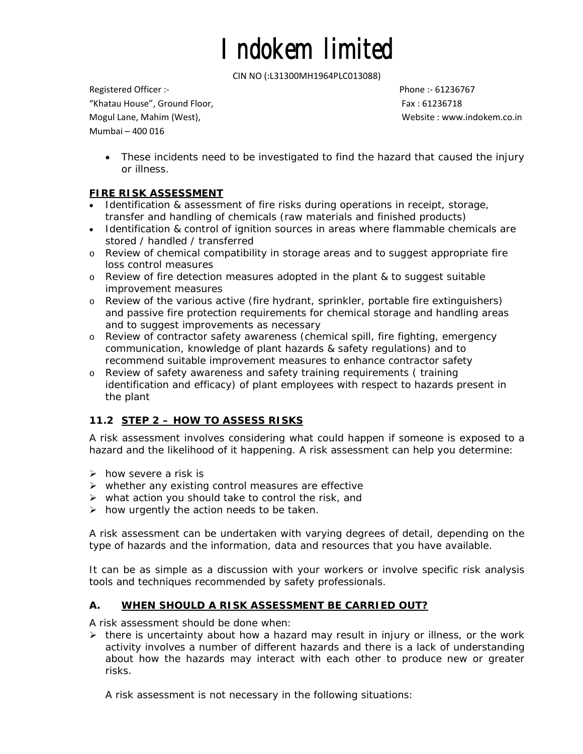CIN NO (:L31300MH1964PLC013088)

Registered Officer :‐ Phone :‐ 61236767 "Khatau House", Ground Floor, Fax : 61236718 Mogul Lane, Mahim (West), Website : www.indokem.co.in Mumbai – 400 016

• These incidents need to be investigated to find the hazard that caused the injury or illness.

## **FIRE RISK ASSESSMENT**

- Identification & assessment of fire risks during operations in receipt, storage, transfer and handling of chemicals (raw materials and finished products)
- Identification & control of ignition sources in areas where flammable chemicals are stored / handled / transferred
- o Review of chemical compatibility in storage areas and to suggest appropriate fire loss control measures
- o Review of fire detection measures adopted in the plant & to suggest suitable improvement measures
- o Review of the various active (fire hydrant, sprinkler, portable fire extinguishers) and passive fire protection requirements for chemical storage and handling areas and to suggest improvements as necessary
- o Review of contractor safety awareness (chemical spill, fire fighting, emergency communication, knowledge of plant hazards & safety regulations) and to recommend suitable improvement measures to enhance contractor safety
- o Review of safety awareness and safety training requirements ( training identification and efficacy) of plant employees with respect to hazards present in the plant

## **11.2 STEP 2 – HOW TO ASSESS RISKS**

A risk assessment involves considering what could happen if someone is exposed to a hazard and the likelihood of it happening. A risk assessment can help you determine:

- $\triangleright$  how severe a risk is
- $\triangleright$  whether any existing control measures are effective
- $\triangleright$  what action you should take to control the risk, and
- $\triangleright$  how urgently the action needs to be taken.

A risk assessment can be undertaken with varying degrees of detail, depending on the type of hazards and the information, data and resources that you have available.

It can be as simple as a discussion with your workers or involve specific risk analysis tools and techniques recommended by safety professionals.

## **A. WHEN SHOULD A RISK ASSESSMENT BE CARRIED OUT?**

A risk assessment should be done when:

 $\triangleright$  there is uncertainty about how a hazard may result in injury or illness, or the work activity involves a number of different hazards and there is a lack of understanding about how the hazards may interact with each other to produce new or greater risks.

A risk assessment is not necessary in the following situations: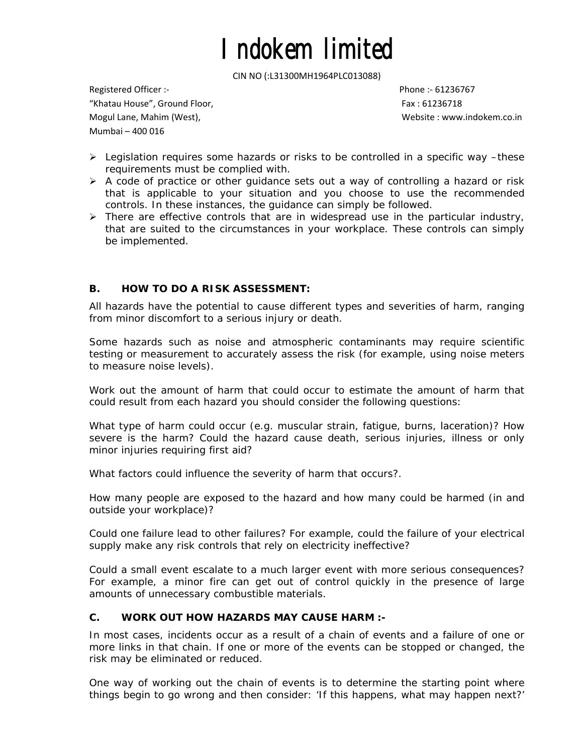CIN NO (:L31300MH1964PLC013088)

Registered Officer :‐ Phone :‐ 61236767 "Khatau House", Ground Floor, Fax : 61236718 Mogul Lane, Mahim (West), Website : www.indokem.co.in Mumbai – 400 016

- ¾ Legislation requires some hazards or risks to be controlled in a specific way –these requirements must be complied with.
- $\triangleright$  A code of practice or other guidance sets out a way of controlling a hazard or risk that is applicable to your situation and you choose to use the recommended controls. In these instances, the guidance can simply be followed.
- $\triangleright$  There are effective controls that are in widespread use in the particular industry, that are suited to the circumstances in your workplace. These controls can simply be implemented.

## **B. HOW TO DO A RISK ASSESSMENT:**

All hazards have the potential to cause different types and severities of harm, ranging from minor discomfort to a serious injury or death.

Some hazards such as noise and atmospheric contaminants may require scientific testing or measurement to accurately assess the risk (for example, using noise meters to measure noise levels).

Work out the amount of harm that could occur to estimate the amount of harm that could result from each hazard you should consider the following questions:

What type of harm could occur (e.g. muscular strain, fatigue, burns, laceration)? How severe is the harm? Could the hazard cause death, serious injuries, illness or only minor injuries requiring first aid?

What factors could influence the severity of harm that occurs?.

How many people are exposed to the hazard and how many could be harmed (in and outside your workplace)?

Could one failure lead to other failures? For example, could the failure of your electrical supply make any risk controls that rely on electricity ineffective?

Could a small event escalate to a much larger event with more serious consequences? For example, a minor fire can get out of control quickly in the presence of large amounts of unnecessary combustible materials.

### **C. WORK OUT HOW HAZARDS MAY CAUSE HARM :-**

In most cases, incidents occur as a result of a chain of events and a failure of one or more links in that chain. If one or more of the events can be stopped or changed, the risk may be eliminated or reduced.

One way of working out the chain of events is to determine the starting point where things begin to go wrong and then consider: 'If this happens, what may happen next?'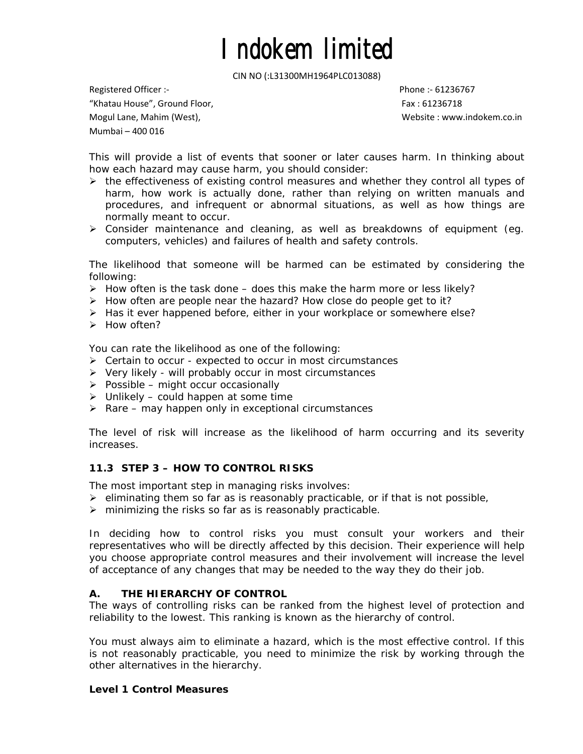CIN NO (:L31300MH1964PLC013088)

Registered Officer :‐ Phone :‐ 61236767 "Khatau House", Ground Floor, Fax : 61236718 Mogul Lane, Mahim (West), Website : www.indokem.co.in Mumbai – 400 016

This will provide a list of events that sooner or later causes harm. In thinking about how each hazard may cause harm, you should consider:

- $\triangleright$  the effectiveness of existing control measures and whether they control all types of harm, how work is actually done, rather than relying on written manuals and procedures, and infrequent or abnormal situations, as well as how things are normally meant to occur.
- ¾ Consider maintenance and cleaning, as well as breakdowns of equipment (eg. computers, vehicles) and failures of health and safety controls.

The likelihood that someone will be harmed can be estimated by considering the following:

- $\triangleright$  How often is the task done does this make the harm more or less likely?
- $\triangleright$  How often are people near the hazard? How close do people get to it?
- ¾ Has it ever happened before, either in your workplace or somewhere else?
- ¾ How often?

You can rate the likelihood as one of the following:

- ¾ Certain to occur expected to occur in most circumstances
- $\triangleright$  Very likely will probably occur in most circumstances
- $\triangleright$  Possible might occur occasionally
- $\triangleright$  Unlikely could happen at some time
- $\triangleright$  Rare may happen only in exceptional circumstances

The level of risk will increase as the likelihood of harm occurring and its severity increases.

### **11.3 STEP 3 – HOW TO CONTROL RISKS**

The most important step in managing risks involves:

 $\triangleright$  eliminating them so far as is reasonably practicable, or if that is not possible,

 $\triangleright$  minimizing the risks so far as is reasonably practicable.

In deciding how to control risks you must consult your workers and their representatives who will be directly affected by this decision. Their experience will help you choose appropriate control measures and their involvement will increase the level of acceptance of any changes that may be needed to the way they do their job.

### **A. THE HIERARCHY OF CONTROL**

The ways of controlling risks can be ranked from the highest level of protection and reliability to the lowest. This ranking is known as the hierarchy of control.

You must always aim to eliminate a hazard, which is the most effective control. If this is not reasonably practicable, you need to minimize the risk by working through the other alternatives in the hierarchy.

#### **Level 1 Control Measures**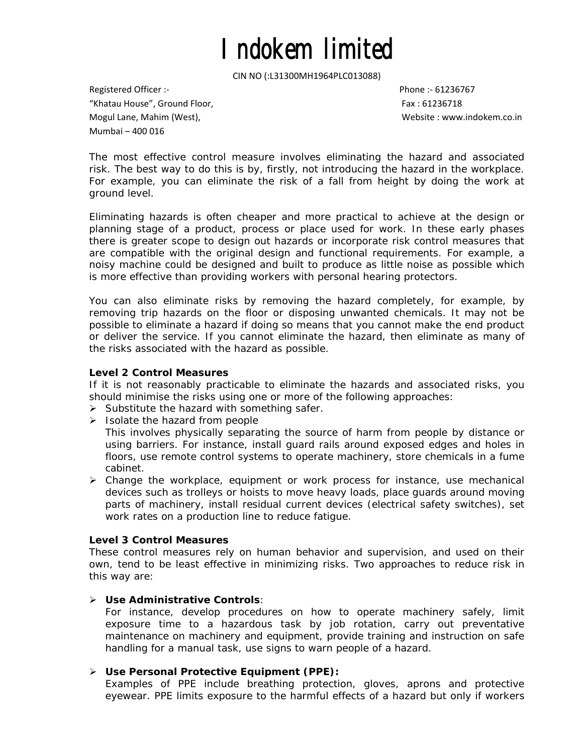CIN NO (:L31300MH1964PLC013088)

Registered Officer :‐ Phone :‐ 61236767 "Khatau House", Ground Floor, Fax : 61236718 Mogul Lane, Mahim (West), Website : www.indokem.co.in Mumbai – 400 016

The most effective control measure involves eliminating the hazard and associated risk. The best way to do this is by, firstly, not introducing the hazard in the workplace. For example, you can eliminate the risk of a fall from height by doing the work at ground level.

Eliminating hazards is often cheaper and more practical to achieve at the design or planning stage of a product, process or place used for work. In these early phases there is greater scope to design out hazards or incorporate risk control measures that are compatible with the original design and functional requirements. For example, a noisy machine could be designed and built to produce as little noise as possible which is more effective than providing workers with personal hearing protectors.

You can also eliminate risks by removing the hazard completely, for example, by removing trip hazards on the floor or disposing unwanted chemicals. It may not be possible to eliminate a hazard if doing so means that you cannot make the end product or deliver the service. If you cannot eliminate the hazard, then eliminate as many of the risks associated with the hazard as possible.

### **Level 2 Control Measures**

If it is not reasonably practicable to eliminate the hazards and associated risks, you should minimise the risks using one or more of the following approaches:

- ¾ *Substitute the hazard with something safer.*
- ¾ *Isolate the hazard from people*

This involves physically separating the source of harm from people by distance or using barriers. For instance, install guard rails around exposed edges and holes in floors, use remote control systems to operate machinery, store chemicals in a fume cabinet.

¾ *Change the workplace, equipment or work process f*or instance, use mechanical devices such as trolleys or hoists to move heavy loads, place guards around moving parts of machinery, install residual current devices (electrical safety switches), set work rates on a production line to reduce fatigue.

### **Level 3 Control Measures**

These control measures rely on human behavior and supervision, and used on their own, tend to be least effective in minimizing risks. Two approaches to reduce risk in this way are:

### ¾ *Use Administrative Controls:*

For instance, develop procedures on how to operate machinery safely, limit exposure time to a hazardous task by job rotation, carry out preventative maintenance on machinery and equipment, provide training and instruction on safe handling for a manual task, use signs to warn people of a hazard.

#### ¾ *Use Personal Protective Equipment (PPE):*

Examples of PPE include breathing protection, gloves, aprons and protective eyewear. PPE limits exposure to the harmful effects of a hazard but only if workers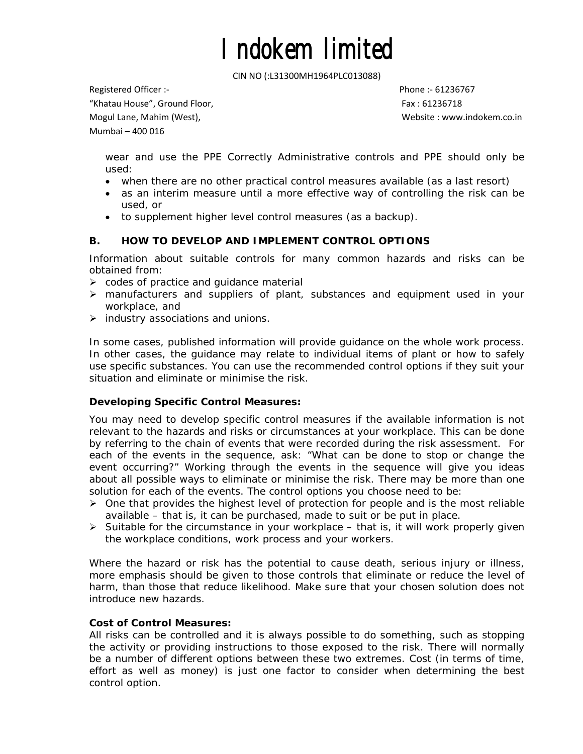CIN NO (:L31300MH1964PLC013088)

Registered Officer :‐ Phone :‐ 61236767

"Khatau House", Ground Floor, Fax : 61236718

Mumbai – 400 016

Mogul Lane, Mahim (West), Website : www.indokem.co.in

wear and use the PPE Correctly Administrative controls and PPE should only be used:

- when there are no other practical control measures available (as a last resort)
- as an interim measure until a more effective way of controlling the risk can be used, or
- to supplement higher level control measures (as a backup).

## **B. HOW TO DEVELOP AND IMPLEMENT CONTROL OPTIONS**

Information about suitable controls for many common hazards and risks can be obtained from:

- $\triangleright$  codes of practice and guidance material
- $\triangleright$  manufacturers and suppliers of plant, substances and equipment used in your workplace, and
- $\triangleright$  industry associations and unions.

In some cases, published information will provide guidance on the whole work process. In other cases, the guidance may relate to individual items of plant or how to safely use specific substances. You can use the recommended control options if they suit your situation and eliminate or minimise the risk.

### **Developing Specific Control Measures:**

You may need to develop specific control measures if the available information is not relevant to the hazards and risks or circumstances at your workplace. This can be done by referring to the chain of events that were recorded during the risk assessment. For each of the events in the sequence, ask: "What can be done to stop or change the event occurring?" Working through the events in the sequence will give you ideas about all possible ways to eliminate or minimise the risk. There may be more than one solution for each of the events. The control options you choose need to be:

- $\triangleright$  One that provides the highest level of protection for people and is the most reliable available – that is, it can be purchased, made to suit or be put in place.
- $\triangleright$  Suitable for the circumstance in your workplace that is, it will work properly given the workplace conditions, work process and your workers.

Where the hazard or risk has the potential to cause death, serious injury or illness, more emphasis should be given to those controls that eliminate or reduce the level of harm, than those that reduce likelihood. Make sure that your chosen solution does not introduce new hazards.

### **Cost of Control Measures:**

All risks can be controlled and it is always possible to do something, such as stopping the activity or providing instructions to those exposed to the risk. There will normally be a number of different options between these two extremes. Cost (in terms of time, effort as well as money) is just one factor to consider when determining the best control option.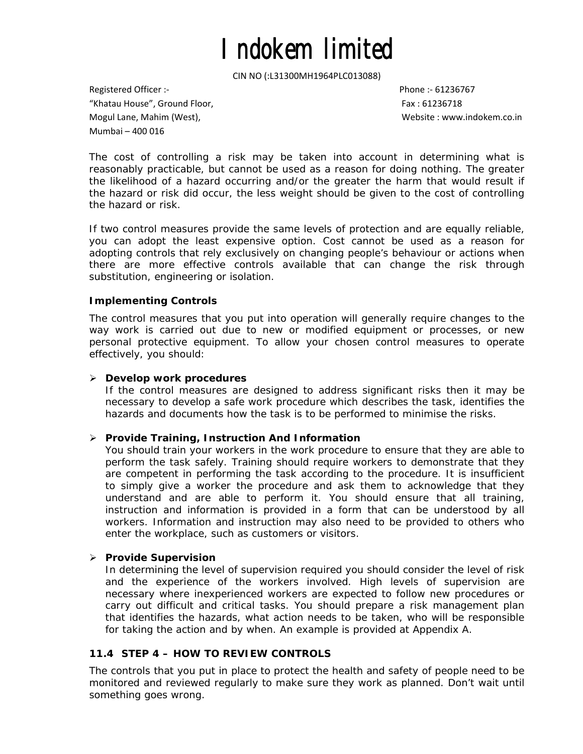CIN NO (:L31300MH1964PLC013088)

Registered Officer :‐ Phone :‐ 61236767 "Khatau House", Ground Floor, Fax : 61236718 Mogul Lane, Mahim (West), Website : www.indokem.co.in Mumbai – 400 016

The cost of controlling a risk may be taken into account in determining what is reasonably practicable, but cannot be used as a reason for doing nothing. The greater the likelihood of a hazard occurring and/or the greater the harm that would result if the hazard or risk did occur, the less weight should be given to the cost of controlling the hazard or risk.

If two control measures provide the same levels of protection and are equally reliable, you can adopt the least expensive option. Cost cannot be used as a reason for adopting controls that rely exclusively on changing people's behaviour or actions when there are more effective controls available that can change the risk through substitution, engineering or isolation.

### **Implementing Controls**

The control measures that you put into operation will generally require changes to the way work is carried out due to new or modified equipment or processes, or new personal protective equipment. To allow your chosen control measures to operate effectively, you should:

#### ¾ *Develop work procedures*

If the control measures are designed to address significant risks then it may be necessary to develop a safe work procedure which describes the task, identifies the hazards and documents how the task is to be performed to minimise the risks.

#### ¾ *Provide Training, Instruction And Information*

You should train your workers in the work procedure to ensure that they are able to perform the task safely. Training should require workers to demonstrate that they are competent in performing the task according to the procedure. It is insufficient to simply give a worker the procedure and ask them to acknowledge that they understand and are able to perform it. You should ensure that all training, instruction and information is provided in a form that can be understood by all workers. Information and instruction may also need to be provided to others who enter the workplace, such as customers or visitors.

#### ¾ *Provide Supervision*

In determining the level of supervision required you should consider the level of risk and the experience of the workers involved. High levels of supervision are necessary where inexperienced workers are expected to follow new procedures or carry out difficult and critical tasks. You should prepare a risk management plan that identifies the hazards, what action needs to be taken, who will be responsible for taking the action and by when. An example is provided at Appendix A.

### **11.4 STEP 4 – HOW TO REVIEW CONTROLS**

The controls that you put in place to protect the health and safety of people need to be monitored and reviewed regularly to make sure they work as planned. Don't wait until something goes wrong.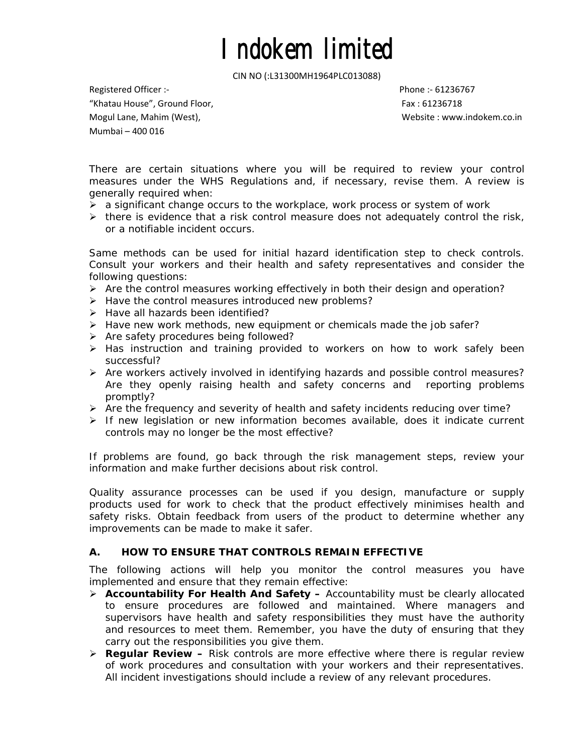CIN NO (:L31300MH1964PLC013088)

Registered Officer :‐ Phone :‐ 61236767 "Khatau House", Ground Floor, Fax : 61236718 Mogul Lane, Mahim (West), Website : www.indokem.co.in Mumbai – 400 016

There are certain situations where you will be required to review your control measures under the WHS Regulations and, if necessary, revise them. A review is generally required when:

- $\triangleright$  a significant change occurs to the workplace, work process or system of work
- $\triangleright$  there is evidence that a risk control measure does not adequately control the risk, or a notifiable incident occurs.

Same methods can be used for initial hazard identification step to check controls. Consult your workers and their health and safety representatives and consider the following questions:

- $\triangleright$  Are the control measures working effectively in both their design and operation?
- ¾ Have the control measures introduced new problems?
- ¾ Have all hazards been identified?
- ¾ Have new work methods, new equipment or chemicals made the job safer?
- ¾ Are safety procedures being followed?
- $\triangleright$  Has instruction and training provided to workers on how to work safely been successful?
- $\triangleright$  Are workers actively involved in identifying hazards and possible control measures? Are they openly raising health and safety concerns and reporting problems promptly?
- ¾ Are the frequency and severity of health and safety incidents reducing over time?
- $\triangleright$  If new legislation or new information becomes available, does it indicate current controls may no longer be the most effective?

If problems are found, go back through the risk management steps, review your information and make further decisions about risk control.

Quality assurance processes can be used if you design, manufacture or supply products used for work to check that the product effectively minimises health and safety risks. Obtain feedback from users of the product to determine whether any improvements can be made to make it safer.

## **A. HOW TO ENSURE THAT CONTROLS REMAIN EFFECTIVE**

The following actions will help you monitor the control measures you have implemented and ensure that they remain effective:

- ¾ *Accountability For Health And Safety* **–** *A*ccountability must be clearly allocated to ensure procedures are followed and maintained. Where managers and supervisors have health and safety responsibilities they must have the authority and resources to meet them. Remember, you have the duty of ensuring that they carry out the responsibilities you give them.
- ¾ *Regular Review* **–** *R*isk controls are more effective where there is regular review of work procedures and consultation with your workers and their representatives. All incident investigations should include a review of any relevant procedures.